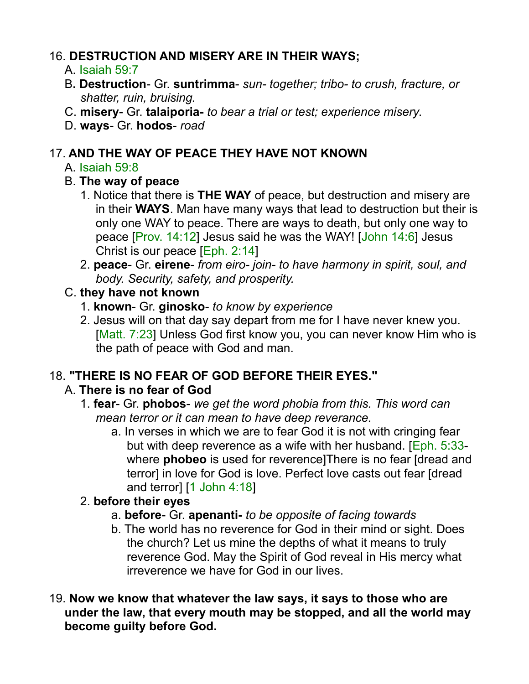### 16. **DESTRUCTION AND MISERY ARE IN THEIR WAYS;**

- A. Isaiah 59:7
- B**. Destruction** Gr. **suntrimma** *sun- together; tribo- to crush, fracture, or shatter, ruin, bruising.*
- C. **misery** Gr. **talaiporia-** *to bear a trial or test; experience misery*.
- D. **ways** Gr. **hodos** *road*

### 17. **AND THE WAY OF PEACE THEY HAVE NOT KNOWN**

#### A. Isaiah 59:8

#### B. **The way of peace**

- 1. Notice that there is **THE WAY** of peace, but destruction and misery are in their **WAYS**. Man have many ways that lead to destruction but their is only one WAY to peace. There are ways to death, but only one way to peace [Prov. 14:12] Jesus said he was the WAY! [John 14:6] Jesus Christ is our peace [Eph. 2:14]
- 2. **peace** Gr. **eirene** *from eiro- join- to have harmony in spirit, soul, and body. Security, safety, and prosperity.*

#### C. **they have not known**

- 1. **known** Gr. **ginosko** *to know by experience*
- 2. Jesus will on that day say depart from me for I have never knew you. [Matt. 7:23] Unless God first know you, you can never know Him who is the path of peace with God and man.

## 18. **"THERE IS NO FEAR OF GOD BEFORE THEIR EYES."**

## A. **There is no fear of God**

- 1. **fear** Gr. **phobos** *we get the word phobia from this. This word can mean terror or it can mean to have deep reverance.* 
	- a. In verses in which we are to fear God it is not with cringing fear but with deep reverence as a wife with her husband. [Eph. 5:33 where **phobeo** is used for reverence]There is no fear [dread and terror] in love for God is love. Perfect love casts out fear [dread and terror] [1 John 4:18]

## 2. **before their eyes**

- a. **before** Gr. **apenanti-** *to be opposite of facing towards*
- b. The world has no reverence for God in their mind or sight. Does the church? Let us mine the depths of what it means to truly reverence God. May the Spirit of God reveal in His mercy what irreverence we have for God in our lives.
- 19. **Now we know that whatever the law says, it says to those who are under the law, that every mouth may be stopped, and all the world may become guilty before God.**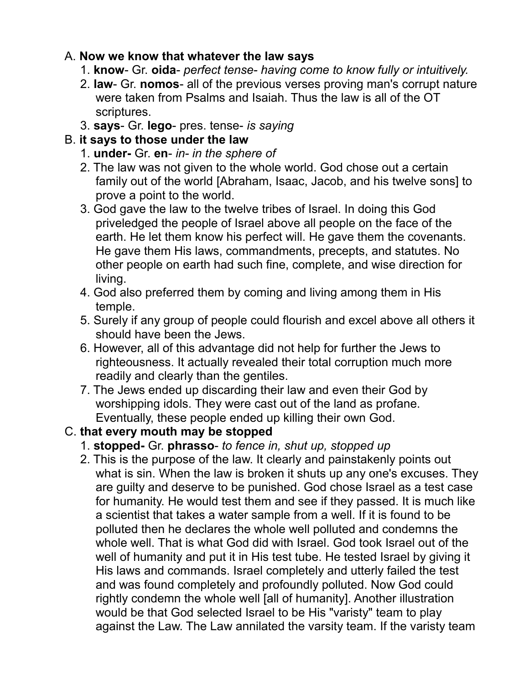#### A. **Now we know that whatever the law says**

- 1. **know** Gr. **oida** *perfect tense- having come to know fully or intuitively.*
- 2. **law** Gr. **nomos** all of the previous verses proving man's corrupt nature were taken from Psalms and Isaiah. Thus the law is all of the OT scriptures.
- 3. **says** Gr. **lego** pres. tense- *is saying*

#### B. **it says to those under the law**

- 1. **under-** Gr. **en** *in- in the sphere of*
- 2. The law was not given to the whole world. God chose out a certain family out of the world [Abraham, Isaac, Jacob, and his twelve sons] to prove a point to the world.
- 3. God gave the law to the twelve tribes of Israel. In doing this God priveledged the people of Israel above all people on the face of the earth. He let them know his perfect will. He gave them the covenants. He gave them His laws, commandments, precepts, and statutes. No other people on earth had such fine, complete, and wise direction for living.
- 4. God also preferred them by coming and living among them in His temple.
- 5. Surely if any group of people could flourish and excel above all others it should have been the Jews.
- 6. However, all of this advantage did not help for further the Jews to righteousness. It actually revealed their total corruption much more readily and clearly than the gentiles.
- 7. The Jews ended up discarding their law and even their God by worshipping idols. They were cast out of the land as profane. Eventually, these people ended up killing their own God.

# C. **that every mouth may be stopped**

- 1. **stopped-** Gr. **phrasso** *to fence in, shut up, stopped up*
- 2. This is the purpose of the law. It clearly and painstakenly points out what is sin. When the law is broken it shuts up any one's excuses. They are guilty and deserve to be punished. God chose Israel as a test case for humanity. He would test them and see if they passed. It is much like a scientist that takes a water sample from a well. If it is found to be polluted then he declares the whole well polluted and condemns the whole well. That is what God did with Israel. God took Israel out of the well of humanity and put it in His test tube. He tested Israel by giving it His laws and commands. Israel completely and utterly failed the test and was found completely and profoundly polluted. Now God could rightly condemn the whole well [all of humanity]. Another illustration would be that God selected Israel to be His "varisty" team to play against the Law. The Law annilated the varsity team. If the varisty team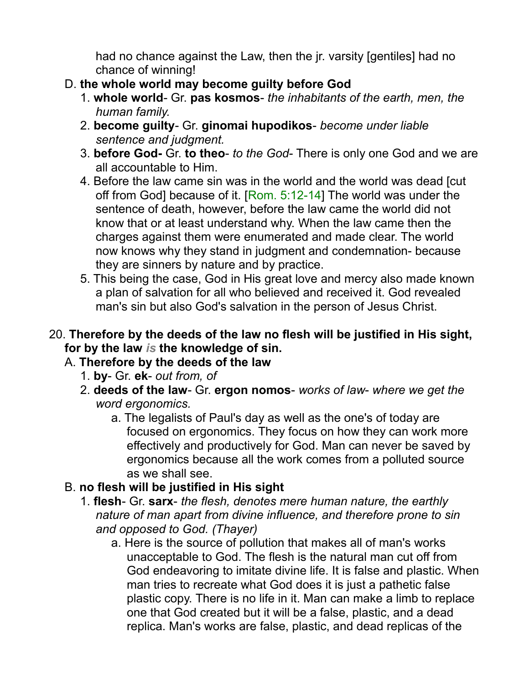had no chance against the Law, then the jr. varsity [gentiles] had no chance of winning!

- D. **the whole world may become guilty before God**
	- 1. **whole world** Gr. **pas kosmos** *the inhabitants of the earth, men, the human family.*
	- 2. **become guilty** Gr. **ginomai hupodikos** *become under liable sentence and judgment.*
	- 3. **before God-** Gr. **to theo** *to the God* There is only one God and we are all accountable to Him.
	- 4. Before the law came sin was in the world and the world was dead [cut off from God] because of it. [Rom. 5:12-14] The world was under the sentence of death, however, before the law came the world did not know that or at least understand why. When the law came then the charges against them were enumerated and made clear. The world now knows why they stand in judgment and condemnation- because they are sinners by nature and by practice.
	- 5. This being the case, God in His great love and mercy also made known a plan of salvation for all who believed and received it. God revealed man's sin but also God's salvation in the person of Jesus Christ.

#### 20. **Therefore by the deeds of the law no flesh will be justified in His sight, for by the law** *is* **the knowledge of sin.**

- A. **Therefore by the deeds of the law**
	- 1. **by** Gr. **ek** *out from, of*
	- 2. **deeds of the law** Gr. **ergon nomos** *works of law where we get the word ergonomics.*
		- a. The legalists of Paul's day as well as the one's of today are focused on ergonomics. They focus on how they can work more effectively and productively for God. Man can never be saved by ergonomics because all the work comes from a polluted source as we shall see.
- B. **no flesh will be justified in His sight**
	- 1. **flesh** Gr. **sarx** *the flesh, denotes mere human nature, the earthly nature of man apart from divine influence, and therefore prone to sin and opposed to God. (Thayer)*
		- a. Here is the source of pollution that makes all of man's works unacceptable to God. The flesh is the natural man cut off from God endeavoring to imitate divine life. It is false and plastic. When man tries to recreate what God does it is just a pathetic false plastic copy. There is no life in it. Man can make a limb to replace one that God created but it will be a false, plastic, and a dead replica. Man's works are false, plastic, and dead replicas of the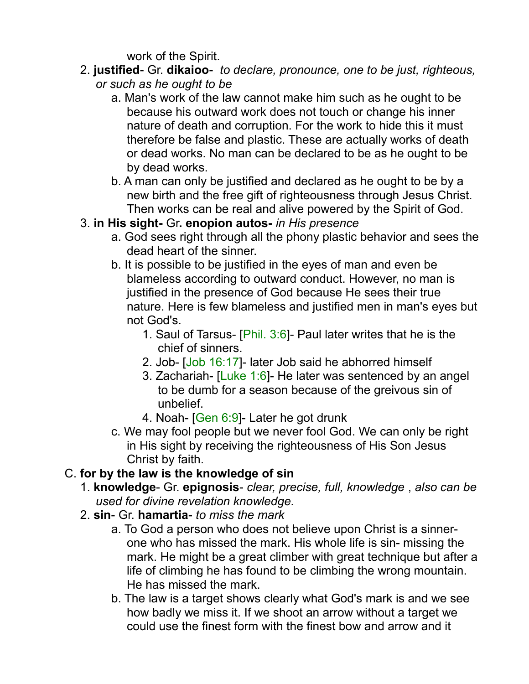work of the Spirit.

- 2. **justified** Gr. **dikaioo** *to declare, pronounce, one to be just, righteous, or such as he ought to be*
	- a. Man's work of the law cannot make him such as he ought to be because his outward work does not touch or change his inner nature of death and corruption. For the work to hide this it must therefore be false and plastic. These are actually works of death or dead works. No man can be declared to be as he ought to be by dead works.
	- b. A man can only be justified and declared as he ought to be by a new birth and the free gift of righteousness through Jesus Christ. Then works can be real and alive powered by the Spirit of God.

## 3. **in His sight-** Gr**. enopion autos-** *in His presence*

- a. God sees right through all the phony plastic behavior and sees the dead heart of the sinner.
- b. It is possible to be justified in the eyes of man and even be blameless according to outward conduct. However, no man is justified in the presence of God because He sees their true nature. Here is few blameless and justified men in man's eyes but not God's.
	- 1. Saul of Tarsus- [Phil. 3:6]- Paul later writes that he is the chief of sinners.
	- 2. Job- [Job 16:17]- later Job said he abhorred himself
	- 3. Zachariah- [Luke 1:6]- He later was sentenced by an angel to be dumb for a season because of the greivous sin of unbelief.
	- 4. Noah- [Gen 6:9]- Later he got drunk
- c. We may fool people but we never fool God. We can only be right in His sight by receiving the righteousness of His Son Jesus Christ by faith.

# C. **for by the law is the knowledge of sin**

- 1. **knowledge** Gr. **epignosis** *clear, precise, full, knowledge* , *also can be used for divine revelation knowledge.*
- 2. **sin** Gr. **hamartia** *to miss the mark*
	- a. To God a person who does not believe upon Christ is a sinnerone who has missed the mark. His whole life is sin- missing the mark. He might be a great climber with great technique but after a life of climbing he has found to be climbing the wrong mountain. He has missed the mark.
	- b. The law is a target shows clearly what God's mark is and we see how badly we miss it. If we shoot an arrow without a target we could use the finest form with the finest bow and arrow and it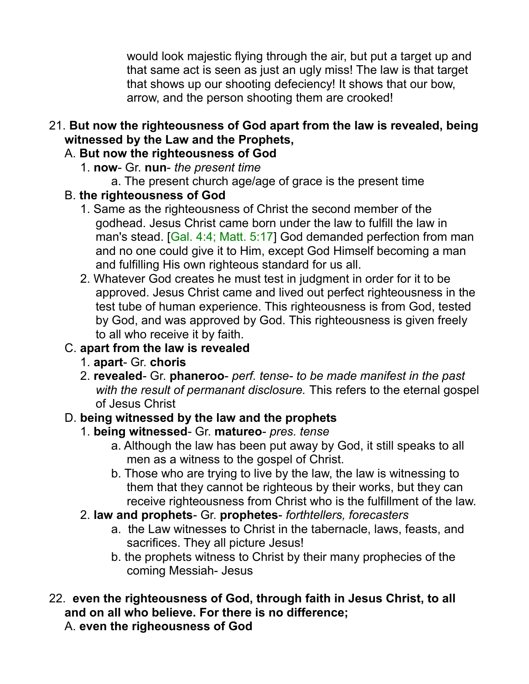would look majestic flying through the air, but put a target up and that same act is seen as just an ugly miss! The law is that target that shows up our shooting defeciency! It shows that our bow, arrow, and the person shooting them are crooked!

- 21. **But now the righteousness of God apart from the law is revealed, being witnessed by the Law and the Prophets,** 
	- A. **But now the righteousness of God** 
		- 1. **now** Gr. **nun** *the present time*
			- a. The present church age/age of grace is the present time
	- B. **the righteousness of God**
		- 1. Same as the righteousness of Christ the second member of the godhead. Jesus Christ came born under the law to fulfill the law in man's stead. [Gal. 4:4; Matt. 5:17] God demanded perfection from man and no one could give it to Him, except God Himself becoming a man and fulfilling His own righteous standard for us all.
		- 2. Whatever God creates he must test in judgment in order for it to be approved. Jesus Christ came and lived out perfect righteousness in the test tube of human experience. This righteousness is from God, tested by God, and was approved by God. This righteousness is given freely to all who receive it by faith.

## C. **apart from the law is revealed**

- 1. **apart** Gr. **choris**
- 2. **revealed** Gr. **phaneroo** *perf. tense- to be made manifest in the past with the result of permanant disclosure.* This refers to the eternal gospel of Jesus Christ

## D. **being witnessed by the law and the prophets**

- 1. **being witnessed** Gr. **matureo** *pres. tense*
	- a. Although the law has been put away by God, it still speaks to all men as a witness to the gospel of Christ.
	- b. Those who are trying to live by the law, the law is witnessing to them that they cannot be righteous by their works, but they can receive righteousness from Christ who is the fulfillment of the law.
- 2. **law and prophets** Gr. **prophetes** *forthtellers, forecasters*
	- a. the Law witnesses to Christ in the tabernacle, laws, feasts, and sacrifices. They all picture Jesus!
	- b. the prophets witness to Christ by their many prophecies of the coming Messiah- Jesus
- 22. **even the righteousness of God, through faith in Jesus Christ, to all and on all who believe. For there is no difference;** 
	- A. **even the righeousness of God**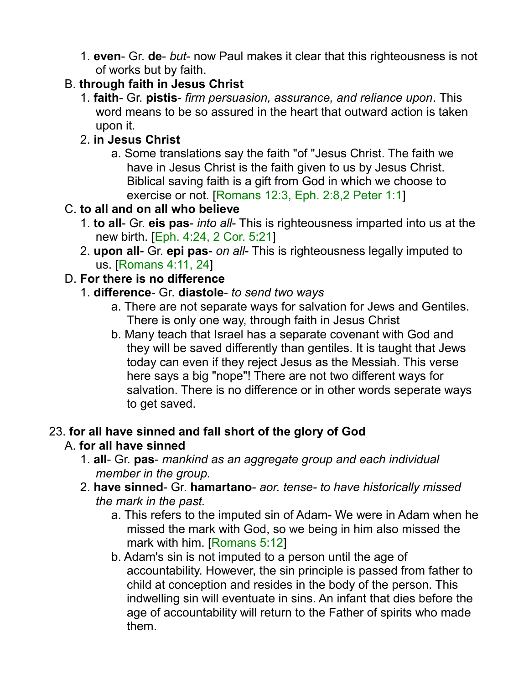1. **even**- Gr. **de**- *but*- now Paul makes it clear that this righteousness is not of works but by faith.

## B. **through faith in Jesus Christ**

1. **faith**- Gr. **pistis**- *firm persuasion, assurance, and reliance upon*. This word means to be so assured in the heart that outward action is taken upon it.

### 2. **in Jesus Christ**

a. Some translations say the faith "of "Jesus Christ. The faith we have in Jesus Christ is the faith given to us by Jesus Christ. Biblical saving faith is a gift from God in which we choose to exercise or not. [Romans 12:3, Eph. 2:8,2 Peter 1:1]

#### C. **to all and on all who believe**

- 1. **to all** Gr. **eis pas** *into all* This is righteousness imparted into us at the new birth. [Eph. 4:24, 2 Cor. 5:21]
- 2. **upon all** Gr. **epi pas** *on all* This is righteousness legally imputed to us. [Romans 4:11, 24]

#### D. **For there is no difference**

- 1. **difference** Gr. **diastole** *to send two ways*
	- a. There are not separate ways for salvation for Jews and Gentiles. There is only one way, through faith in Jesus Christ
	- b. Many teach that Israel has a separate covenant with God and they will be saved differently than gentiles. It is taught that Jews today can even if they reject Jesus as the Messiah. This verse here says a big "nope"! There are not two different ways for salvation. There is no difference or in other words seperate ways to get saved.

#### 23. **for all have sinned and fall short of the glory of God** A. **for all have sinned**

- 1. **all** Gr. **pas** *mankind as an aggregate group and each individual member in the group.*
- 2. **have sinned** Gr. **hamartano** *aor. tense- to have historically missed the mark in the past.*
	- a. This refers to the imputed sin of Adam- We were in Adam when he missed the mark with God, so we being in him also missed the mark with him. [Romans 5:12]
	- b. Adam's sin is not imputed to a person until the age of accountability. However, the sin principle is passed from father to child at conception and resides in the body of the person. This indwelling sin will eventuate in sins. An infant that dies before the age of accountability will return to the Father of spirits who made them.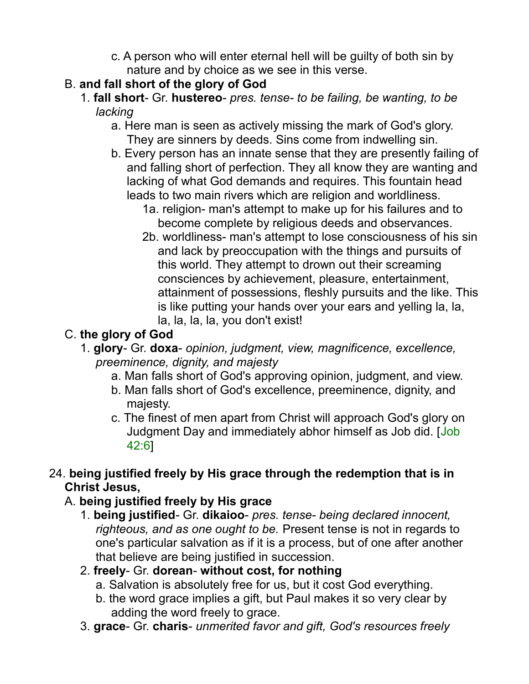- c. A person who will enter eternal hell will be guilty of both sin by nature and by choice as we see in this verse.
- B. **and fall short of the glory of God**
	- 1. **fall short** Gr. **hustereo** *pres. tense- to be failing, be wanting, to be lacking*
		- a. Here man is seen as actively missing the mark of God's glory. They are sinners by deeds. Sins come from indwelling sin.
		- b. Every person has an innate sense that they are presently failing of and falling short of perfection. They all know they are wanting and lacking of what God demands and requires. This fountain head leads to two main rivers which are religion and worldliness.
			- 1a. religion- man's attempt to make up for his failures and to become complete by religious deeds and observances.
			- 2b. worldliness- man's attempt to lose consciousness of his sin and lack by preoccupation with the things and pursuits of this world. They attempt to drown out their screaming consciences by achievement, pleasure, entertainment, attainment of possessions, fleshly pursuits and the like. This is like putting your hands over your ears and yelling la, la, la, la, la, la, you don't exist!

# C. **the glory of God**

- 1. **glory** Gr. **doxa** *opinion, judgment, view, magnificence, excellence, preeminence, dignity, and majesty*
	- a. Man falls short of God's approving opinion, judgment, and view.
	- b. Man falls short of God's excellence, preeminence, dignity, and majesty.
	- c. The finest of men apart from Christ will approach God's glory on Judgment Day and immediately abhor himself as Job did. [Job 42:6]
- 24. **being justified freely by His grace through the redemption that is in Christ Jesus,**

# A. **being justified freely by His grace**

- 1. **being justified** Gr. **dikaioo** *pres. tense- being declared innocent, righteous, and as one ought to be.* Present tense is not in regards to one's particular salvation as if it is a process, but of one after another that believe are being justified in succession.
- 2. **freely** Gr. **dorean without cost, for nothing**
	- a. Salvation is absolutely free for us, but it cost God everything.
	- b. the word grace implies a gift, but Paul makes it so very clear by adding the word freely to grace.
- 3. **grace** Gr. **charis** *unmerited favor and gift, God's resources freely*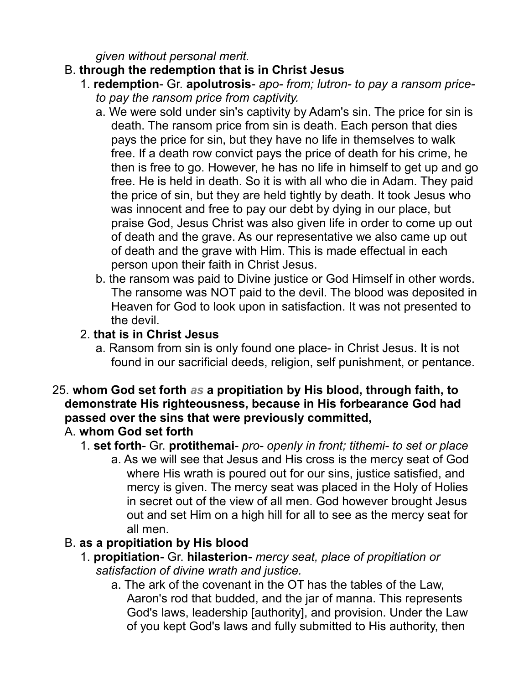*given without personal merit.*

## B. **through the redemption that is in Christ Jesus**

- 1. **redemption** Gr. **apolutrosis** *apo- from; lutron- to pay a ransom priceto pay the ransom price from captivity.*
	- a. We were sold under sin's captivity by Adam's sin. The price for sin is death. The ransom price from sin is death. Each person that dies pays the price for sin, but they have no life in themselves to walk free. If a death row convict pays the price of death for his crime, he then is free to go. However, he has no life in himself to get up and go free. He is held in death. So it is with all who die in Adam. They paid the price of sin, but they are held tightly by death. It took Jesus who was innocent and free to pay our debt by dying in our place, but praise God, Jesus Christ was also given life in order to come up out of death and the grave. As our representative we also came up out of death and the grave with Him. This is made effectual in each person upon their faith in Christ Jesus.
	- b. the ransom was paid to Divine justice or God Himself in other words. The ransome was NOT paid to the devil. The blood was deposited in Heaven for God to look upon in satisfaction. It was not presented to the devil.

### 2. **that is in Christ Jesus**

a. Ransom from sin is only found one place- in Christ Jesus. It is not found in our sacrificial deeds, religion, self punishment, or pentance.

#### 25. **whom God set forth** *as* **a propitiation by His blood, through faith, to demonstrate His righteousness, because in His forbearance God had passed over the sins that were previously committed,**

## A. **whom God set forth**

- 1. **set forth** Gr. **protithemai** *pro- openly in front; tithemi- to set or place*
	- a. As we will see that Jesus and His cross is the mercy seat of God where His wrath is poured out for our sins, justice satisfied, and mercy is given. The mercy seat was placed in the Holy of Holies in secret out of the view of all men. God however brought Jesus out and set Him on a high hill for all to see as the mercy seat for all men.

## B. **as a propitiation by His blood**

- 1. **propitiation** Gr. **hilasterion** *mercy seat, place of propitiation or satisfaction of divine wrath and justice.*
	- a. The ark of the covenant in the OT has the tables of the Law, Aaron's rod that budded, and the jar of manna. This represents God's laws, leadership [authority], and provision. Under the Law of you kept God's laws and fully submitted to His authority, then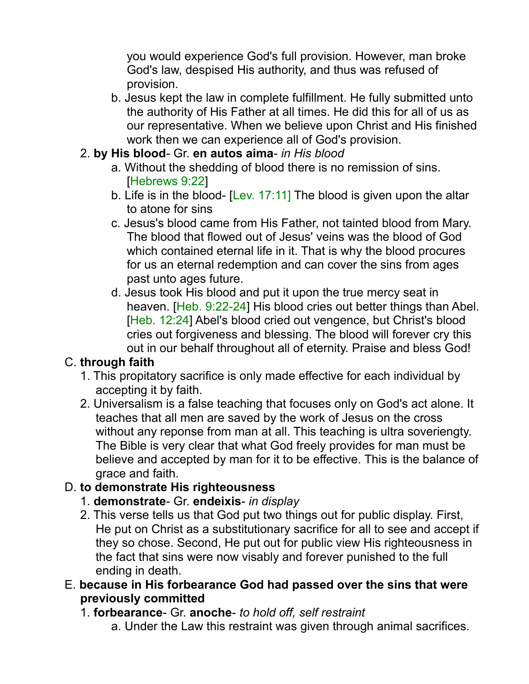you would experience God's full provision. However, man broke God's law, despised His authority, and thus was refused of provision.

- b. Jesus kept the law in complete fulfillment. He fully submitted unto the authority of His Father at all times. He did this for all of us as our representative. When we believe upon Christ and His finished work then we can experience all of God's provision.
- 2. **by His blood** Gr. **en autos aima** *in His blood*
	- a. Without the shedding of blood there is no remission of sins. [Hebrews 9:22]
	- b. Life is in the blood- [Lev. 17:11] The blood is given upon the altar to atone for sins
	- c. Jesus's blood came from His Father, not tainted blood from Mary. The blood that flowed out of Jesus' veins was the blood of God which contained eternal life in it. That is why the blood procures for us an eternal redemption and can cover the sins from ages past unto ages future.
	- d. Jesus took His blood and put it upon the true mercy seat in heaven. [Heb. 9:22-24] His blood cries out better things than Abel. [Heb. 12:24] Abel's blood cried out vengence, but Christ's blood cries out forgiveness and blessing. The blood will forever cry this out in our behalf throughout all of eternity. Praise and bless God!

## C. **through faith**

- 1. This propitatory sacrifice is only made effective for each individual by accepting it by faith.
- 2. Universalism is a false teaching that focuses only on God's act alone. It teaches that all men are saved by the work of Jesus on the cross without any reponse from man at all. This teaching is ultra soveriengty. The Bible is very clear that what God freely provides for man must be believe and accepted by man for it to be effective. This is the balance of grace and faith.

## D. **to demonstrate His righteousness**

- 1. **demonstrate** Gr. **endeixis** *in display*
- 2. This verse tells us that God put two things out for public display. First, He put on Christ as a substitutionary sacrifice for all to see and accept if they so chose. Second, He put out for public view His righteousness in the fact that sins were now visably and forever punished to the full ending in death.
- E. **because in His forbearance God had passed over the sins that were previously committed**
	- 1. **forbearance** Gr. **anoche** *to hold off, self restraint*
		- a. Under the Law this restraint was given through animal sacrifices.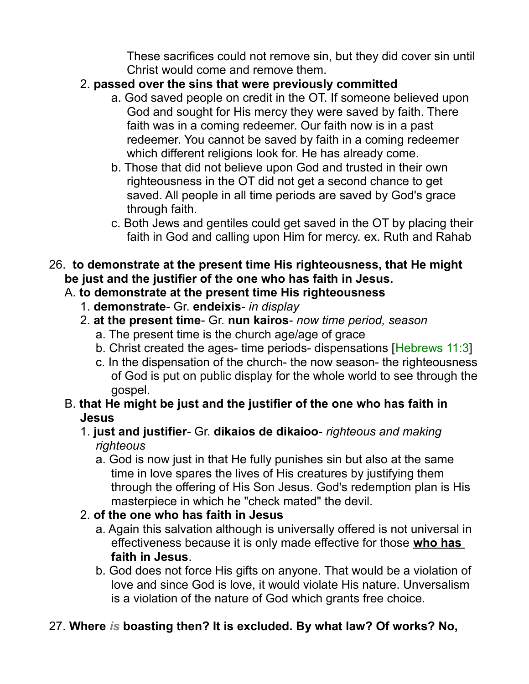These sacrifices could not remove sin, but they did cover sin until Christ would come and remove them.

## 2. **passed over the sins that were previously committed**

- a. God saved people on credit in the OT. If someone believed upon God and sought for His mercy they were saved by faith. There faith was in a coming redeemer. Our faith now is in a past redeemer. You cannot be saved by faith in a coming redeemer which different religions look for. He has already come.
- b. Those that did not believe upon God and trusted in their own righteousness in the OT did not get a second chance to get saved. All people in all time periods are saved by God's grace through faith.
- c. Both Jews and gentiles could get saved in the OT by placing their faith in God and calling upon Him for mercy. ex. Ruth and Rahab
- 26. **to demonstrate at the present time His righteousness, that He might be just and the justifier of the one who has faith in Jesus.**

# A. **to demonstrate at the present time His righteousness**

- 1. **demonstrate** Gr. **endeixis** *in display*
- 2. **at the present time** Gr. **nun kairos** *now time period, season*
	- a. The present time is the church age/age of grace
	- b. Christ created the ages- time periods- dispensations [Hebrews 11:3]
	- c. In the dispensation of the church- the now season- the righteousness of God is put on public display for the whole world to see through the gospel.

#### B. **that He might be just and the justifier of the one who has faith in Jesus**

- 1. **just and justifier** Gr. **dikaios de dikaioo** *righteous and making righteous*
	- a. God is now just in that He fully punishes sin but also at the same time in love spares the lives of His creatures by justifying them through the offering of His Son Jesus. God's redemption plan is His masterpiece in which he "check mated" the devil.

## 2. **of the one who has faith in Jesus**

- a. Again this salvation although is universally offered is not universal in effectiveness because it is only made effective for those **who has faith in Jesus**.
- b. God does not force His gifts on anyone. That would be a violation of love and since God is love, it would violate His nature. Unversalism is a violation of the nature of God which grants free choice.

# 27. **Where** *is* **boasting then? It is excluded. By what law? Of works? No,**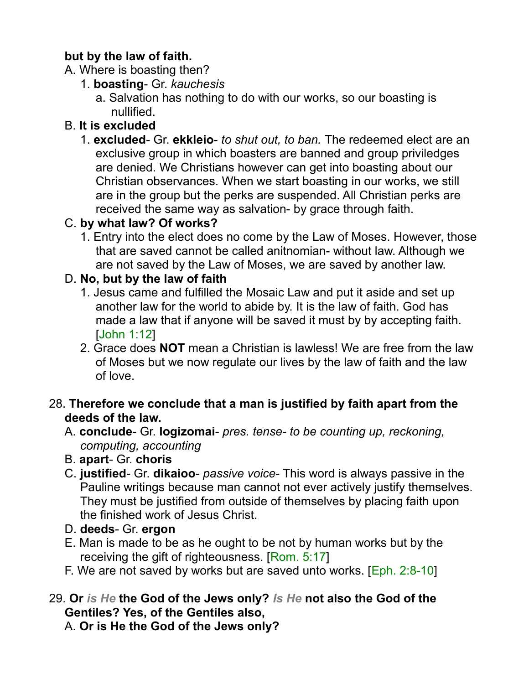#### **but by the law of faith.**

- A. Where is boasting then?
	- 1. **boasting** Gr. *kauchesis*
		- a. Salvation has nothing to do with our works, so our boasting is nullified.

# B. **It is excluded**

1. **excluded**- Gr. **ekkleio**- *to shut out, to ban.* The redeemed elect are an exclusive group in which boasters are banned and group priviledges are denied. We Christians however can get into boasting about our Christian observances. When we start boasting in our works, we still are in the group but the perks are suspended. All Christian perks are received the same way as salvation- by grace through faith.

## C. **by what law? Of works?**

1. Entry into the elect does no come by the Law of Moses. However, those that are saved cannot be called anitnomian- without law. Although we are not saved by the Law of Moses, we are saved by another law.

# D. **No, but by the law of faith**

- 1. Jesus came and fulfilled the Mosaic Law and put it aside and set up another law for the world to abide by. It is the law of faith. God has made a law that if anyone will be saved it must by by accepting faith. [John 1:12]
- 2. Grace does **NOT** mean a Christian is lawless! We are free from the law of Moses but we now regulate our lives by the law of faith and the law of love.

#### 28. **Therefore we conclude that a man is justified by faith apart from the deeds of the law.**

- A. **conclude** Gr. **logizomai** *pres. tense- to be counting up, reckoning, computing, accounting*
- B. **apart** Gr. **choris**
- C. **justified** Gr. **dikaioo** *passive voice* This word is always passive in the Pauline writings because man cannot not ever actively justify themselves. They must be justified from outside of themselves by placing faith upon the finished work of Jesus Christ.
- D. **deeds** Gr. **ergon**
- E. Man is made to be as he ought to be not by human works but by the receiving the gift of righteousness. [Rom. 5:17]
- F. We are not saved by works but are saved unto works. [Eph. 2:8-10]

#### 29. **Or** *is He* **the God of the Jews only?** *Is He* **not also the God of the Gentiles? Yes, of the Gentiles also,** A. **Or is He the God of the Jews only?**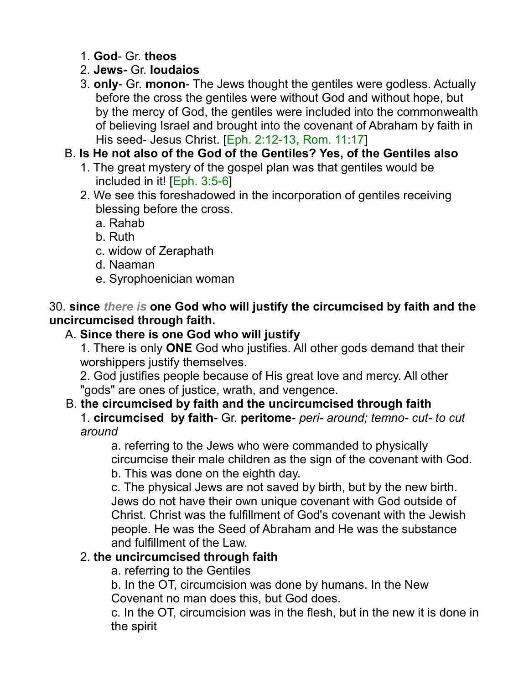- 1. **God** Gr. **theos**
- 2. **Jews** Gr. **Ioudaios**
- 3. **only** Gr. **monon** The Jews thought the gentiles were godless. Actually before the cross the gentiles were without God and without hope, but by the mercy of God, the gentiles were included into the commonwealth of believing Israel and brought into the covenant of Abraham by faith in His seed- Jesus Christ. [Eph. 2:12-13**,** Rom. 11:17]
- B. **Is He not also of the God of the Gentiles? Yes, of the Gentiles also**
	- 1. The great mystery of the gospel plan was that gentiles would be included in it! [Eph. 3:5-6]
	- 2. We see this foreshadowed in the incorporation of gentiles receiving blessing before the cross.
		- a. Rahab
		- b. Ruth
		- c. widow of Zeraphath
		- d. Naaman
		- e. Syrophoenician woman

#### 30. **since** *there is* **one God who will justify the circumcised by faith and the uncircumcised through faith.**

# A. **Since there is one God who will justify**

1. There is only **ONE** God who justifies. All other gods demand that their worshippers justify themselves.

2. God justifies people because of His great love and mercy. All other "gods" are ones of justice, wrath, and vengence.

## B. **the circumcised by faith and the uncircumcised through faith**

1. **circumcised by faith**- Gr. **peritome**- *peri- around; temno- cut- to cut around*

a. referring to the Jews who were commanded to physically circumcise their male children as the sign of the covenant with God.

b. This was done on the eighth day.

c. The physical Jews are not saved by birth, but by the new birth. Jews do not have their own unique covenant with God outside of Christ. Christ was the fulfillment of God's covenant with the Jewish people. He was the Seed of Abraham and He was the substance and fulfillment of the Law.

## 2. **the uncircumcised through faith**

a. referring to the Gentiles

b. In the OT, circumcision was done by humans. In the New Covenant no man does this, but God does.

c. In the OT, circumcision was in the flesh, but in the new it is done in the spirit